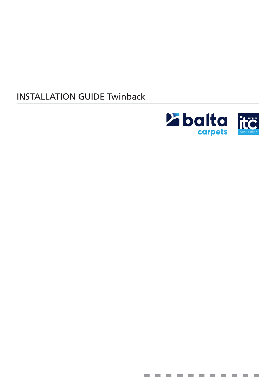# INSTALLATION GUIDE Twinback



**Contract** 

**The Co** 

**Contract** 

**Contract**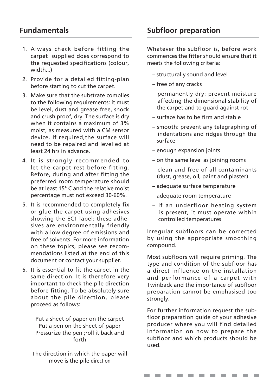#### **Fundamentals**

- 1. Always check before fitting the carpet supplied does correspond to the requested specifications (colour, width...)
- 2. Provide for a detailed fitting-plan before starting to cut the carpet.
- 3. Make sure that the substrate complies to the following requirements: it must be level, dust and grease free, shock and crush proof, dry. The surface is dry when it contains a maximum of 3% moist, as measured with a CM sensor device. If required,the surface will need to be repaired and levelled at least 24 hrs in advance.
- 4. It is strongly recommended to let the carpet rest before fitting. Before, during and after fitting the preferred room temperature should be at least 15° C and the relative moist percentage must not exceed 30-60%.
- 5. It is recommended to completely fix or glue the carpet using adhesives showing the EC1 label: these adhesives are environmentally friendly with a low degree of emissions and free of solvents. For more information on these topics, please see recommendations listed at the end of this document or contact your supplier.
- 6. It is essential to fit the carpet in the same direction. It is therefore very important to check the pile direction before fitting. To be absolutely sure about the pile direction, please proceed as follows:

Put a sheet of paper on the carpet Put a pen on the sheet of paper Pressurize the pen ;roll it back and forth

The direction in which the paper will move is the pile direction

**Subfloor preparation**

Whatever the subfloor is, before work commences the fitter should ensure that it meets the following criteria:

- structurally sound and level
- free of any cracks
- permanently dry: prevent moisture affecting the dimensional stability of the carpet and to guard against rot
- surface has to be firm and stable
- smooth: prevent any telegraphing of indentations and ridges through the surface
- enough expansion joints
- on the same level as joining rooms
- clean and free of all contaminants (dust, grease, oil, paint and plaster)
- adequate surface temperature
- adequate room temperature
- if an underfloor heating system is present, it must operate within controlled temperatures

Irregular subfloors can be corrected by using the appropriate smoothing compound.

Most subfloors will require priming. The type and condition of the subfloor has a direct influence on the installation and performance of a carpet with Twinback and the importance of subfloor preparation cannot be emphasised too strongly.

For further information request the subfloor preparation guide of your adhesive producer where you will find detailed information on how to prepare the subfloor and which products should be used.

. . . . . . . . . . .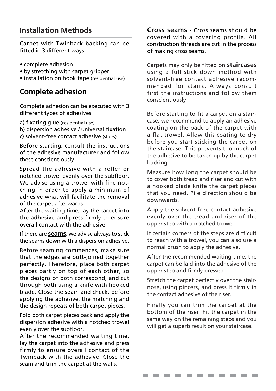## **Installation Methods**

Carpet with Twinback backing can be fitted in 3 different ways:

- complete adhesion
- by stretching with carpet gripper
- installation on hook tape (residential use)

### **Complete adhesion**

Complete adhesion can be executed with 3 different types of adhesives:

a) fixating glue (residential use)

b) dispersion adhesive / universal fixation c) solvent-free contact adhesive (stairs)

Before starting, consult the instructions of the adhesive manufacturer and follow these conscientiously.

Spread the adhesive with a roller or notched trowel evenly over the subfloor. We advise using a trowel with fine notching in order to apply a minimum of adhesive what will facilitate the removal of the carpet afterwards.

After the waiting time, lay the carpet into the adhesive and press firmly to ensure overall contact with the adhesive.

If there are **seams**, we advise always to stick the seams down with a dispersion adhesive.

Before seaming commences, make sure that the edges are butt-joined together perfectly. Therefore, place both carpet pieces partly on top of each other, so the designs of both correspond, and cut through both using a knife with hooked blade. Close the seam and check, before applying the adhesive, the matching and the design repeats of both carpet pieces.

Fold both carpet pieces back and apply the dispersion adhesive with a notched trowel evenly over the subfloor.

After the recommended waiting time, lay the carpet into the adhesive and press firmly to ensure overall contact of the Twinback with the adhesive. Close the seam and trim the carpet at the walls.

**Cross seams** - Cross seams should be covered with a covering profile. All construction threads are cut in the process of making cross seams.

Carpets may only be fitted on **staircases** using a full stick down method with solvent-free contact adhesive recommended for stairs. Always consult first the instructions and follow them conscientiously.

Before starting to fit a carpet on a staircase, we recommend to apply an adhesive coating on the back of the carpet with a flat trowel. Allow this coating to dry before you start sticking the carpet on the staircase. This prevents too much of the adhesive to be taken up by the carpet backing.

Measure how long the carpet should be to cover both tread and riser and cut with a hooked blade knife the carpet pieces that you need. Pile direction should be downwards.

Apply the solvent-free contact adhesive evenly over the tread and riser of the upper step with a notched trowel.

If certain corners of the steps are difficult to reach with a trowel, you can also use a normal brush to apply the adhesive.

After the recommended waiting time, the carpet can be laid into the adhesive of the upper step and firmly pressed.

Stretch the carpet perfectly over the stairnose, using pincers, and press it firmly in the contact adhesive of the riser.

Finally you can trim the carpet at the bottom of the riser. Fit the carpet in the same way on the remaining steps and you will get a superb result on your staircase.

**COLLEGE** 

---------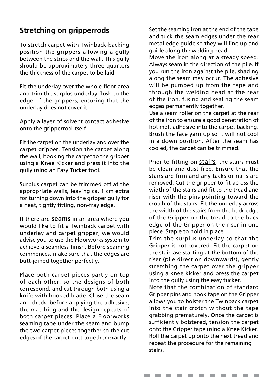# **Stretching on gripperrods**

To stretch carpet with Twinback-backing position the grippers allowing a gully between the strips and the wall. This gully should be approximately three quarters the thickness of the carpet to be laid.

Fit the underlay over the whole floor area and trim the surplus underlay flush to the edge of the grippers, ensuring that the underlay does not cover it.

Apply a layer of solvent contact adhesive onto the gripperrod itself.

Fit the carpet on the underlay and over the carpet gripper. Tension the carpet along the wall, hooking the carpet to the gripper using a Knee Kicker and press it into the gully using an Easy Tucker tool.

Surplus carpet can be trimmed off at the appropriate walls, leaving ca. 1 cm extra for turning down into the gripper gully for a neat, tightly fitting, non-fray edge.

If there are **seams** in an area where you would like to fit a Twinback carpet with underlay and carpet gripper, we would advise you to use the Floorworks system to achieve a seamless finish. Before seaming commences, make sure that the edges are butt-joined together perfectly.

Place both carpet pieces partly on top of each other, so the designs of both correspond, and cut through both using a knife with hooked blade. Close the seam and check, before applying the adhesive, the matching and the design repeats of both carpet pieces. Place a Floorworks seaming tape under the seam and bump the two carpet pieces together so the cut edges of the carpet butt together exactly.

Set the seaming iron at the end of the tape and tuck the seam edges under the rear metal edge guide so they will line up and guide along the welding head.

Move the iron along at a steady speed. Always seam in the direction of the pile. If you run the iron against the pile, shading along the seam may occur. The adhesive will be pumped up from the tape and through the welding head at the rear of the iron, fusing and sealing the seam edges permanently together.

Use a seam roller on the carpet at the rear of the iron to ensure a good penetration of hot melt adhesive into the carpet backing. Brush the face yarn up so it will not cool in a down position. After the seam has cooled, the carpet can be trimmed.

Prior to fitting on stairs, the stairs must be clean and dust free. Ensure that the stairs are firm and any tacks or nails are removed. Cut the gripper to fit across the width of the stairs and fit to the tread and riser with the pins pointing toward the crotch of the stairs. Fit the underlay across the width of the stairs from the back edge of the Gripper on the tread to the back edge of the Gripper on the riser in one piece. Staple to hold in place.

Trim the surplus underlay so that the Gripper is not covered. Fit the carpet on the staircase starting at the bottom of the riser (pile direction downwards), gently stretching the carpet over the gripper using a knee kicker and press the carpet into the gully using the easy tucker.

Note that the combination of standard Gripper pins and hook tape on the Gripper allows you to bolster the Twinback carpet into the stair crotch without the tape grabbing prematurely. Once the carpet is sufficiently bolstered, tension the carpet onto the Gripper tape using a Knee Kicker. Roll the carpet up onto the next tread and repeat the procedure for the remaining stairs.

**Contract** 

**Contract** 

**Contract Contract** 

--------